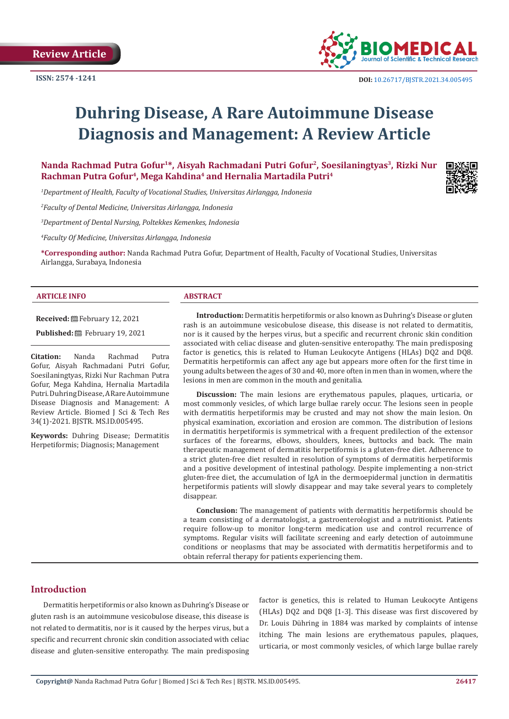**Review Article**



# **Duhring Disease, A Rare Autoimmune Disease Diagnosis and Management: A Review Article**

Nanda Rachmad Putra Gofur<sup>1\*</sup>, Aisyah Rachmadani Putri Gofur<sup>2</sup>, Soesilaningtyas<sup>3</sup>, Rizki Nur Rachman Putra Gofur<sup>4</sup>, Mega Kahdina<sup>4</sup> and Hernalia Martadila Putri<sup>4</sup>

*1 Department of Health, Faculty of Vocational Studies, Universitas Airlangga, Indonesia*

*2 Faculty of Dental Medicine, Universitas Airlangga, Indonesia*

*3 Department of Dental Nursing, Poltekkes Kemenkes, Indonesia*

*4 Faculty Of Medicine, Universitas Airlangga, Indonesia*

**\*Corresponding author:** Nanda Rachmad Putra Gofur, Department of Health, Faculty of Vocational Studies, Universitas Airlangga, Surabaya, Indonesia

#### **ARTICLE INFO ABSTRACT**

**Received:** February 12, 2021

**Published:** February 19, 2021

**Citation:** Nanda Rachmad Putra Gofur, Aisyah Rachmadani Putri Gofur, Soesilaningtyas, Rizki Nur Rachman Putra Gofur, Mega Kahdina, Hernalia Martadila Putri. Duhring Disease, A Rare Autoimmune Disease Diagnosis and Management: A Review Article. Biomed J Sci & Tech Res 34(1)-2021. BJSTR. MS.ID.005495.

**Keywords:** Duhring Disease; Dermatitis Herpetiformis; Diagnosis; Management

**Introduction:** Dermatitis herpetiformis or also known as Duhring's Disease or gluten rash is an autoimmune vesicobulose disease, this disease is not related to dermatitis, nor is it caused by the herpes virus, but a specific and recurrent chronic skin condition associated with celiac disease and gluten-sensitive enteropathy. The main predisposing factor is genetics, this is related to Human Leukocyte Antigens (HLAs) DQ2 and DQ8. Dermatitis herpetiformis can affect any age but appears more often for the first time in young adults between the ages of 30 and 40, more often in men than in women, where the lesions in men are common in the mouth and genitalia.

**Discussion:** The main lesions are erythematous papules, plaques, urticaria, or most commonly vesicles, of which large bullae rarely occur. The lesions seen in people with dermatitis herpetiformis may be crusted and may not show the main lesion. On physical examination, excoriation and erosion are common. The distribution of lesions in dermatitis herpetiformis is symmetrical with a frequent predilection of the extensor surfaces of the forearms, elbows, shoulders, knees, buttocks and back. The main therapeutic management of dermatitis herpetiformis is a gluten-free diet. Adherence to a strict gluten-free diet resulted in resolution of symptoms of dermatitis herpetiformis and a positive development of intestinal pathology. Despite implementing a non-strict gluten-free diet, the accumulation of IgA in the dermoepidermal junction in dermatitis herpetiformis patients will slowly disappear and may take several years to completely disappear.

**Conclusion:** The management of patients with dermatitis herpetiformis should be a team consisting of a dermatologist, a gastroenterologist and a nutritionist. Patients require follow-up to monitor long-term medication use and control recurrence of symptoms. Regular visits will facilitate screening and early detection of autoimmune conditions or neoplasms that may be associated with dermatitis herpetiformis and to obtain referral therapy for patients experiencing them.

# **Introduction**

Dermatitis herpetiformis or also known as Duhring's Disease or gluten rash is an autoimmune vesicobulose disease, this disease is not related to dermatitis, nor is it caused by the herpes virus, but a specific and recurrent chronic skin condition associated with celiac disease and gluten-sensitive enteropathy. The main predisposing factor is genetics, this is related to Human Leukocyte Antigens (HLAs) DQ2 and DQ8 [1-3]. This disease was first discovered by Dr. Louis Dühring in 1884 was marked by complaints of intense itching. The main lesions are erythematous papules, plaques, urticaria, or most commonly vesicles, of which large bullae rarely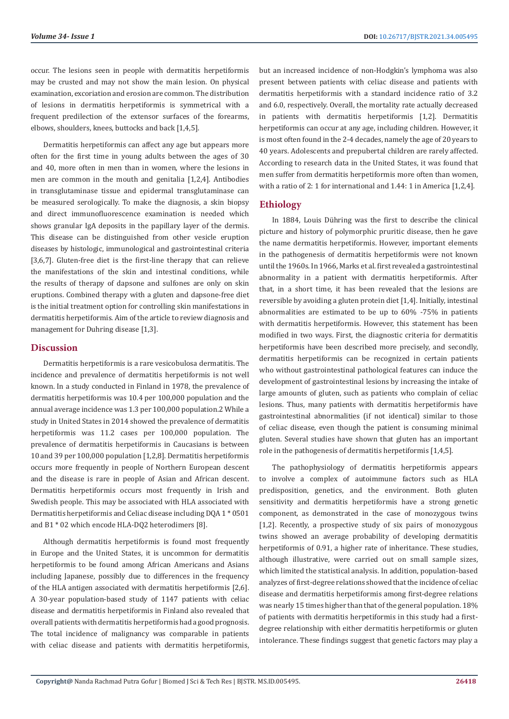occur. The lesions seen in people with dermatitis herpetiformis may be crusted and may not show the main lesion. On physical examination, excoriation and erosion are common. The distribution of lesions in dermatitis herpetiformis is symmetrical with a frequent predilection of the extensor surfaces of the forearms, elbows, shoulders, knees, buttocks and back [1,4,5].

Dermatitis herpetiformis can affect any age but appears more often for the first time in young adults between the ages of 30 and 40, more often in men than in women, where the lesions in men are common in the mouth and genitalia [1,2,4]. Antibodies in transglutaminase tissue and epidermal transglutaminase can be measured serologically. To make the diagnosis, a skin biopsy and direct immunofluorescence examination is needed which shows granular IgA deposits in the papillary layer of the dermis. This disease can be distinguished from other vesicle eruption diseases by histologic, immunological and gastrointestinal criteria [3,6,7]. Gluten-free diet is the first-line therapy that can relieve the manifestations of the skin and intestinal conditions, while the results of therapy of dapsone and sulfones are only on skin eruptions. Combined therapy with a gluten and dapsone-free diet is the initial treatment option for controlling skin manifestations in dermatitis herpetiformis. Aim of the article to review diagnosis and management for Duhring disease [1,3].

# **Discussion**

Dermatitis herpetiformis is a rare vesicobulosa dermatitis. The incidence and prevalence of dermatitis herpetiformis is not well known. In a study conducted in Finland in 1978, the prevalence of dermatitis herpetiformis was 10.4 per 100,000 population and the annual average incidence was 1.3 per 100,000 population.2 While a study in United States in 2014 showed the prevalence of dermatitis herpetiformis was 11.2 cases per 100,000 population. The prevalence of dermatitis herpetiformis in Caucasians is between 10 and 39 per 100,000 population [1,2,8]. Dermatitis herpetiformis occurs more frequently in people of Northern European descent and the disease is rare in people of Asian and African descent. Dermatitis herpetiformis occurs most frequently in Irish and Swedish people. This may be associated with HLA associated with Dermatitis herpetiformis and Celiac disease including DQA 1 \* 0501 and B1 \* 02 which encode HLA-DQ2 heterodimers [8].

Although dermatitis herpetiformis is found most frequently in Europe and the United States, it is uncommon for dermatitis herpetiformis to be found among African Americans and Asians including Japanese, possibly due to differences in the frequency of the HLA antigen associated with dermatitis herpetiformis [2,6]. A 30-year population-based study of 1147 patients with celiac disease and dermatitis herpetiformis in Finland also revealed that overall patients with dermatitis herpetiformis had a good prognosis. The total incidence of malignancy was comparable in patients with celiac disease and patients with dermatitis herpetiformis,

but an increased incidence of non-Hodgkin's lymphoma was also present between patients with celiac disease and patients with dermatitis herpetiformis with a standard incidence ratio of 3.2 and 6.0, respectively. Overall, the mortality rate actually decreased in patients with dermatitis herpetiformis [1,2]. Dermatitis herpetiformis can occur at any age, including children. However, it is most often found in the 2-4 decades, namely the age of 20 years to 40 years. Adolescents and prepubertal children are rarely affected. According to research data in the United States, it was found that men suffer from dermatitis herpetiformis more often than women, with a ratio of 2: 1 for international and 1.44: 1 in America [1,2,4].

# **Ethiology**

In 1884, Louis Dühring was the first to describe the clinical picture and history of polymorphic pruritic disease, then he gave the name dermatitis herpetiformis. However, important elements in the pathogenesis of dermatitis herpetiformis were not known until the 1960s. In 1966, Marks et al. first revealed a gastrointestinal abnormality in a patient with dermatitis herpetiformis. After that, in a short time, it has been revealed that the lesions are reversible by avoiding a gluten protein diet [1,4]. Initially, intestinal abnormalities are estimated to be up to 60% -75% in patients with dermatitis herpetiformis. However, this statement has been modified in two ways. First, the diagnostic criteria for dermatitis herpetiformis have been described more precisely, and secondly, dermatitis herpetiformis can be recognized in certain patients who without gastrointestinal pathological features can induce the development of gastrointestinal lesions by increasing the intake of large amounts of gluten, such as patients who complain of celiac lesions. Thus, many patients with dermatitis herpetiformis have gastrointestinal abnormalities (if not identical) similar to those of celiac disease, even though the patient is consuming minimal gluten. Several studies have shown that gluten has an important role in the pathogenesis of dermatitis herpetiformis [1,4,5].

The pathophysiology of dermatitis herpetiformis appears to involve a complex of autoimmune factors such as HLA predisposition, genetics, and the environment. Both gluten sensitivity and dermatitis herpetiformis have a strong genetic component, as demonstrated in the case of monozygous twins [1,2]. Recently, a prospective study of six pairs of monozygous twins showed an average probability of developing dermatitis herpetiformis of 0.91, a higher rate of inheritance. These studies, although illustrative, were carried out on small sample sizes, which limited the statistical analysis. In addition, population-based analyzes of first-degree relations showed that the incidence of celiac disease and dermatitis herpetiformis among first-degree relations was nearly 15 times higher than that of the general population. 18% of patients with dermatitis herpetiformis in this study had a firstdegree relationship with either dermatitis herpetiformis or gluten intolerance. These findings suggest that genetic factors may play a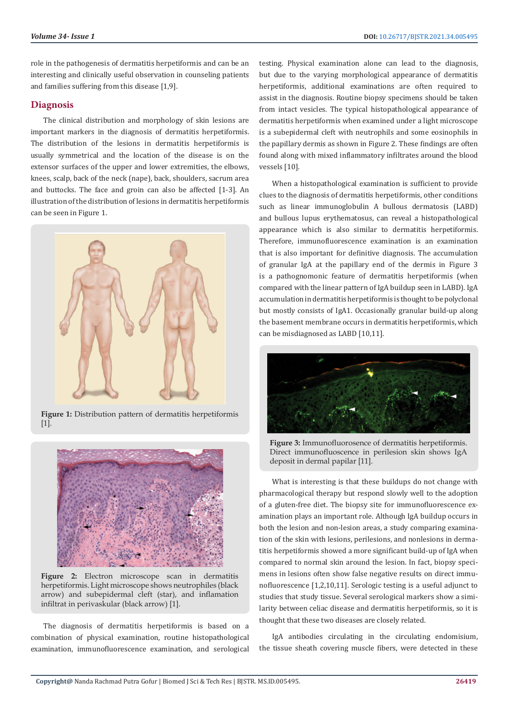role in the pathogenesis of dermatitis herpetiformis and can be an interesting and clinically useful observation in counseling patients and families suffering from this disease [1,9].

# **Diagnosis**

The clinical distribution and morphology of skin lesions are important markers in the diagnosis of dermatitis herpetiformis. The distribution of the lesions in dermatitis herpetiformis is usually symmetrical and the location of the disease is on the extensor surfaces of the upper and lower extremities, the elbows, knees, scalp, back of the neck (nape), back, shoulders, sacrum area and buttocks. The face and groin can also be affected [1-3]. An illustration of the distribution of lesions in dermatitis herpetiformis can be seen in Figure 1.



**Figure 1:** Distribution pattern of dermatitis herpetiformis [1].



**Figure 2:** Electron microscope scan in dermatitis herpetiformis. Light microscope shows neutrophiles (black arrow) and subepidermal cleft (star), and inflamation infiltrat in perivaskular (black arrow) [1].

The diagnosis of dermatitis herpetiformis is based on a combination of physical examination, routine histopathological examination, immunofluorescence examination, and serological testing. Physical examination alone can lead to the diagnosis, but due to the varying morphological appearance of dermatitis herpetiformis, additional examinations are often required to assist in the diagnosis. Routine biopsy specimens should be taken from intact vesicles. The typical histopathological appearance of dermatitis herpetiformis when examined under a light microscope is a subepidermal cleft with neutrophils and some eosinophils in the papillary dermis as shown in Figure 2. These findings are often found along with mixed inflammatory infiltrates around the blood vessels [10].

When a histopathological examination is sufficient to provide clues to the diagnosis of dermatitis herpetiformis, other conditions such as linear immunoglobulin A bullous dermatosis (LABD) and bullous lupus erythematosus, can reveal a histopathological appearance which is also similar to dermatitis herpetiformis. Therefore, immunofluorescence examination is an examination that is also important for definitive diagnosis. The accumulation of granular IgA at the papillary end of the dermis in Figure 3 is a pathognomonic feature of dermatitis herpetiformis (when compared with the linear pattern of IgA buildup seen in LABD). IgA accumulation in dermatitis herpetiformis is thought to be polyclonal but mostly consists of IgA1. Occasionally granular build-up along the basement membrane occurs in dermatitis herpetiformis, which can be misdiagnosed as LABD [10,11].



**Figure 3:** Immunofluorosence of dermatitis herpetiformis. Direct immunofluoscence in perilesion skin shows IgA deposit in dermal papilar [11].

What is interesting is that these buildups do not change with pharmacological therapy but respond slowly well to the adoption of a gluten-free diet. The biopsy site for immunofluorescence examination plays an important role. Although IgA buildup occurs in both the lesion and non-lesion areas, a study comparing examination of the skin with lesions, perilesions, and nonlesions in dermatitis herpetiformis showed a more significant build-up of IgA when compared to normal skin around the lesion. In fact, biopsy specimens in lesions often show false negative results on direct immunofluorescence [1,2,10,11]. Serologic testing is a useful adjunct to studies that study tissue. Several serological markers show a similarity between celiac disease and dermatitis herpetiformis, so it is thought that these two diseases are closely related.

IgA antibodies circulating in the circulating endomisium, the tissue sheath covering muscle fibers, were detected in these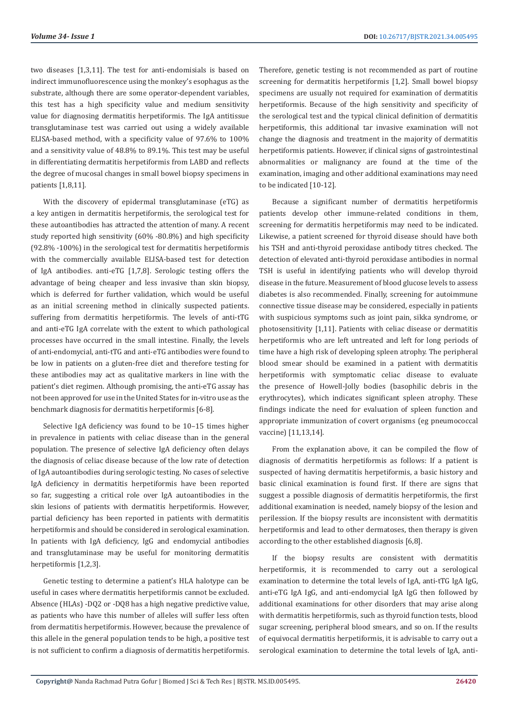two diseases [1,3,11]. The test for anti-endomisials is based on indirect immunofluorescence using the monkey's esophagus as the substrate, although there are some operator-dependent variables, this test has a high specificity value and medium sensitivity value for diagnosing dermatitis herpetiformis. The IgA antitissue transglutaminase test was carried out using a widely available ELISA-based method, with a specificity value of 97.6% to 100% and a sensitivity value of 48.8% to 89.1%. This test may be useful in differentiating dermatitis herpetiformis from LABD and reflects the degree of mucosal changes in small bowel biopsy specimens in patients [1,8,11].

With the discovery of epidermal transglutaminase (eTG) as a key antigen in dermatitis herpetiformis, the serological test for these autoantibodies has attracted the attention of many. A recent study reported high sensitivity (60% -80.8%) and high specificity (92.8% -100%) in the serological test for dermatitis herpetiformis with the commercially available ELISA-based test for detection of IgA antibodies. anti-eTG [1,7,8]. Serologic testing offers the advantage of being cheaper and less invasive than skin biopsy, which is deferred for further validation, which would be useful as an initial screening method in clinically suspected patients. suffering from dermatitis herpetiformis. The levels of anti-tTG and anti-eTG IgA correlate with the extent to which pathological processes have occurred in the small intestine. Finally, the levels of anti-endomycial, anti-tTG and anti-eTG antibodies were found to be low in patients on a gluten-free diet and therefore testing for these antibodies may act as qualitative markers in line with the patient's diet regimen. Although promising, the anti-eTG assay has not been approved for use in the United States for in-vitro use as the benchmark diagnosis for dermatitis herpetiformis [6-8].

Selective IgA deficiency was found to be 10–15 times higher in prevalence in patients with celiac disease than in the general population. The presence of selective IgA deficiency often delays the diagnosis of celiac disease because of the low rate of detection of IgA autoantibodies during serologic testing. No cases of selective IgA deficiency in dermatitis herpetiformis have been reported so far, suggesting a critical role over IgA autoantibodies in the skin lesions of patients with dermatitis herpetiformis. However, partial deficiency has been reported in patients with dermatitis herpetiformis and should be considered in serological examination. In patients with IgA deficiency, IgG and endomycial antibodies and transglutaminase may be useful for monitoring dermatitis herpetiformis [1,2,3].

Genetic testing to determine a patient's HLA halotype can be useful in cases where dermatitis herpetiformis cannot be excluded. Absence (HLAs) -DQ2 or -DQ8 has a high negative predictive value, as patients who have this number of alleles will suffer less often from dermatitis herpetiformis. However, because the prevalence of this allele in the general population tends to be high, a positive test is not sufficient to confirm a diagnosis of dermatitis herpetiformis.

Therefore, genetic testing is not recommended as part of routine screening for dermatitis herpetiformis [1,2]. Small bowel biopsy specimens are usually not required for examination of dermatitis herpetiformis. Because of the high sensitivity and specificity of the serological test and the typical clinical definition of dermatitis herpetiformis, this additional tar invasive examination will not change the diagnosis and treatment in the majority of dermatitis herpetiformis patients. However, if clinical signs of gastrointestinal abnormalities or malignancy are found at the time of the examination, imaging and other additional examinations may need to be indicated [10-12].

Because a significant number of dermatitis herpetiformis patients develop other immune-related conditions in them, screening for dermatitis herpetiformis may need to be indicated. Likewise, a patient screened for thyroid disease should have both his TSH and anti-thyroid peroxidase antibody titres checked. The detection of elevated anti-thyroid peroxidase antibodies in normal TSH is useful in identifying patients who will develop thyroid disease in the future. Measurement of blood glucose levels to assess diabetes is also recommended. Finally, screening for autoimmune connective tissue disease may be considered, especially in patients with suspicious symptoms such as joint pain, sikka syndrome, or photosensitivity [1,11]. Patients with celiac disease or dermatitis herpetiformis who are left untreated and left for long periods of time have a high risk of developing spleen atrophy. The peripheral blood smear should be examined in a patient with dermatitis herpetiformis with symptomatic celiac disease to evaluate the presence of Howell-Jolly bodies (basophilic debris in the erythrocytes), which indicates significant spleen atrophy. These findings indicate the need for evaluation of spleen function and appropriate immunization of covert organisms (eg pneumococcal vaccine) [11,13,14].

From the explanation above, it can be compiled the flow of diagnosis of dermatitis herpetiformis as follows: If a patient is suspected of having dermatitis herpetiformis, a basic history and basic clinical examination is found first. If there are signs that suggest a possible diagnosis of dermatitis herpetiformis, the first additional examination is needed, namely biopsy of the lesion and perilession. If the biopsy results are inconsistent with dermatitis herpetiformis and lead to other dermatoses, then therapy is given according to the other established diagnosis [6,8].

If the biopsy results are consistent with dermatitis herpetiformis, it is recommended to carry out a serological examination to determine the total levels of IgA, anti-tTG IgA IgG, anti-eTG IgA IgG, and anti-endomycial IgA IgG then followed by additional examinations for other disorders that may arise along with dermatitis herpetiformis, such as thyroid function tests, blood sugar screening, peripheral blood smears, and so on. If the results of equivocal dermatitis herpetiformis, it is advisable to carry out a serological examination to determine the total levels of IgA, anti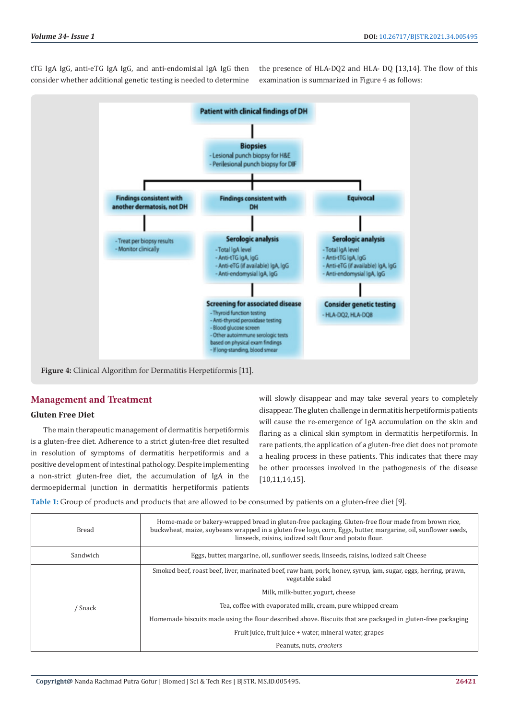tTG IgA IgG, anti-eTG IgA IgG, and anti-endomisial IgA IgG then consider whether additional genetic testing is needed to determine

the presence of HLA-DQ2 and HLA- DQ [13,14]. The flow of this examination is summarized in Figure 4 as follows:



# **Management and Treatment**

## **Gluten Free Diet**

The main therapeutic management of dermatitis herpetiformis is a gluten-free diet. Adherence to a strict gluten-free diet resulted in resolution of symptoms of dermatitis herpetiformis and a positive development of intestinal pathology. Despite implementing a non-strict gluten-free diet, the accumulation of IgA in the dermoepidermal junction in dermatitis herpetiformis patients will slowly disappear and may take several years to completely disappear. The gluten challenge in dermatitis herpetiformis patients will cause the re-emergence of IgA accumulation on the skin and flaring as a clinical skin symptom in dermatitis herpetiformis. In rare patients, the application of a gluten-free diet does not promote a healing process in these patients. This indicates that there may be other processes involved in the pathogenesis of the disease [10,11,14,15].

**Table 1:** Group of products and products that are allowed to be consumed by patients on a gluten-free diet [9].

| Bread    | Home-made or bakery-wrapped bread in gluten-free packaging. Gluten-free flour made from brown rice,<br>buckwheat, maize, soybeans wrapped in a gluten free logo, corn, Eggs, butter, margarine, oil, sunflower seeds,<br>linseeds, raisins, iodized salt flour and potato flour. |  |
|----------|----------------------------------------------------------------------------------------------------------------------------------------------------------------------------------------------------------------------------------------------------------------------------------|--|
| Sandwich | Eggs, butter, margarine, oil, sunflower seeds, linseeds, raisins, iodized salt Cheese                                                                                                                                                                                            |  |
| ' Snack  | Smoked beef, roast beef, liver, marinated beef, raw ham, pork, honey, syrup, jam, sugar, eggs, herring, prawn,<br>vegetable salad                                                                                                                                                |  |
|          | Milk, milk-butter, yogurt, cheese                                                                                                                                                                                                                                                |  |
|          | Tea, coffee with evaporated milk, cream, pure whipped cream                                                                                                                                                                                                                      |  |
|          | Homemade biscuits made using the flour described above. Biscuits that are packaged in gluten-free packaging                                                                                                                                                                      |  |
|          | Fruit juice, fruit juice + water, mineral water, grapes                                                                                                                                                                                                                          |  |
|          | Peanuts, nuts, crackers                                                                                                                                                                                                                                                          |  |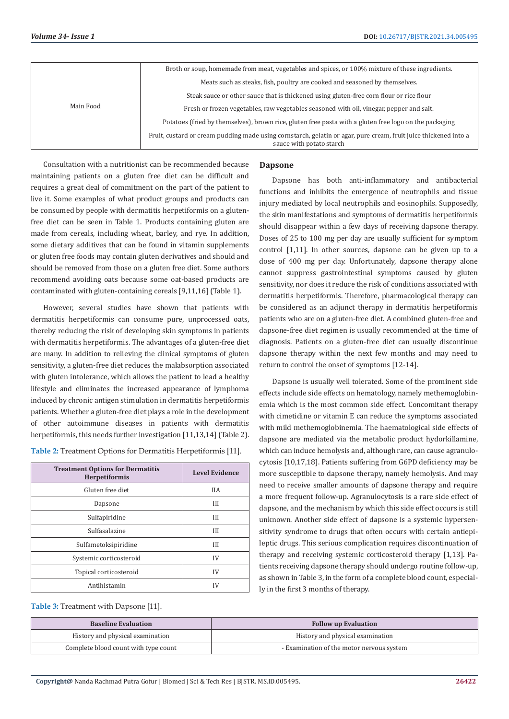| Main Food | Broth or soup, homemade from meat, vegetables and spices, or 100% mixture of these ingredients.                                              |
|-----------|----------------------------------------------------------------------------------------------------------------------------------------------|
|           | Meats such as steaks, fish, poultry are cooked and seasoned by themselves.                                                                   |
|           | Steak sauce or other sauce that is thickened using gluten-free corn flour or rice flour                                                      |
|           | Fresh or frozen vegetables, raw vegetables seasoned with oil, vinegar, pepper and salt.                                                      |
|           | Potatoes (fried by themselves), brown rice, gluten free pasta with a gluten free logo on the packaging                                       |
|           | Fruit, custard or cream pudding made using cornstarch, gelatin or agar, pure cream, fruit juice thickened into a<br>sauce with potato starch |

Consultation with a nutritionist can be recommended because maintaining patients on a gluten free diet can be difficult and requires a great deal of commitment on the part of the patient to live it. Some examples of what product groups and products can be consumed by people with dermatitis herpetiformis on a glutenfree diet can be seen in Table 1. Products containing gluten are made from cereals, including wheat, barley, and rye. In addition, some dietary additives that can be found in vitamin supplements or gluten free foods may contain gluten derivatives and should and should be removed from those on a gluten free diet. Some authors recommend avoiding oats because some oat-based products are contaminated with gluten-containing cereals [9,11,16] (Table 1).

However, several studies have shown that patients with dermatitis herpetiformis can consume pure, unprocessed oats, thereby reducing the risk of developing skin symptoms in patients with dermatitis herpetiformis. The advantages of a gluten-free diet are many. In addition to relieving the clinical symptoms of gluten sensitivity, a gluten-free diet reduces the malabsorption associated with gluten intolerance, which allows the patient to lead a healthy lifestyle and eliminates the increased appearance of lymphoma induced by chronic antigen stimulation in dermatitis herpetiformis patients. Whether a gluten-free diet plays a role in the development of other autoimmune diseases in patients with dermatitis herpetiformis, this needs further investigation [11,13,14] (Table 2).

**Table 2:** Treatment Options for Dermatitis Herpetiformis [11].

| <b>Treatment Options for Dermatitis</b><br>Herpetiformis | <b>Level Evidence</b> |
|----------------------------------------------------------|-----------------------|
| Gluten free diet                                         | <b>IIA</b>            |
| Dapsone                                                  | III                   |
| Sulfapiridine                                            | III                   |
| Sulfasalazine                                            | III                   |
| Sulfametoksipiridine                                     | III                   |
| Systemic corticosteroid                                  | IV                    |
| Topical corticosteroid                                   | IV                    |
| Antihistamin                                             | IV                    |

#### **Dapsone**

Dapsone has both anti-inflammatory and antibacterial functions and inhibits the emergence of neutrophils and tissue injury mediated by local neutrophils and eosinophils. Supposedly, the skin manifestations and symptoms of dermatitis herpetiformis should disappear within a few days of receiving dapsone therapy. Doses of 25 to 100 mg per day are usually sufficient for symptom control [1,11]. In other sources, dapsone can be given up to a dose of 400 mg per day. Unfortunately, dapsone therapy alone cannot suppress gastrointestinal symptoms caused by gluten sensitivity, nor does it reduce the risk of conditions associated with dermatitis herpetiformis. Therefore, pharmacological therapy can be considered as an adjunct therapy in dermatitis herpetiformis patients who are on a gluten-free diet. A combined gluten-free and dapsone-free diet regimen is usually recommended at the time of diagnosis. Patients on a gluten-free diet can usually discontinue dapsone therapy within the next few months and may need to return to control the onset of symptoms [12-14].

Dapsone is usually well tolerated. Some of the prominent side effects include side effects on hematology, namely methemoglobinemia which is the most common side effect. Concomitant therapy with cimetidine or vitamin E can reduce the symptoms associated with mild methemoglobinemia. The haematological side effects of dapsone are mediated via the metabolic product hydorkillamine, which can induce hemolysis and, although rare, can cause agranulocytosis [10,17,18]. Patients suffering from G6PD deficiency may be more susceptible to dapsone therapy, namely hemolysis. And may need to receive smaller amounts of dapsone therapy and require a more frequent follow-up. Agranulocytosis is a rare side effect of dapsone, and the mechanism by which this side effect occurs is still unknown. Another side effect of dapsone is a systemic hypersensitivity syndrome to drugs that often occurs with certain antiepileptic drugs. This serious complication requires discontinuation of therapy and receiving systemic corticosteroid therapy [1,13]. Patients receiving dapsone therapy should undergo routine follow-up, as shown in Table 3, in the form of a complete blood count, especially in the first 3 months of therapy.

**Table 3:** Treatment with Dapsone [11].

| <b>Baseline Evaluation</b>           | <b>Follow up Evaluation</b>               |
|--------------------------------------|-------------------------------------------|
| History and physical examination     | History and physical examination          |
| Complete blood count with type count | - Examination of the motor nervous system |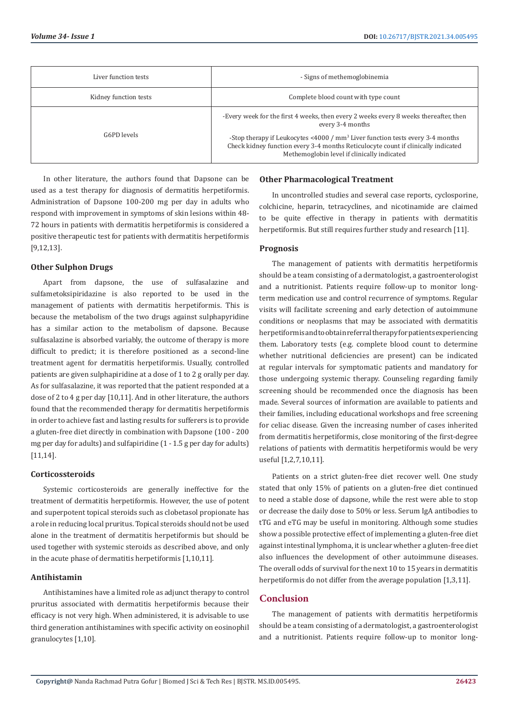| Liver function tests  | - Signs of methemoglobinemia                                                                                                                                                                                                        |
|-----------------------|-------------------------------------------------------------------------------------------------------------------------------------------------------------------------------------------------------------------------------------|
| Kidney function tests | Complete blood count with type count                                                                                                                                                                                                |
|                       | -Every week for the first 4 weeks, then every 2 weeks every 8 weeks thereafter, then<br>every 3-4 months                                                                                                                            |
| G6PD levels           | -Stop therapy if Leukocytes $\leq 4000$ / mm <sup>3</sup> Liver function tests every 3-4 months<br>Check kidney function every 3-4 months Reticulocyte count if clinically indicated<br>Methemoglobin level if clinically indicated |

In other literature, the authors found that Dapsone can be used as a test therapy for diagnosis of dermatitis herpetiformis. Administration of Dapsone 100-200 mg per day in adults who respond with improvement in symptoms of skin lesions within 48- 72 hours in patients with dermatitis herpetiformis is considered a positive therapeutic test for patients with dermatitis herpetiformis [9,12,13].

## **Other Sulphon Drugs**

Apart from dapsone, the use of sulfasalazine and sulfametoksipiridazine is also reported to be used in the management of patients with dermatitis herpetiformis. This is because the metabolism of the two drugs against sulphapyridine has a similar action to the metabolism of dapsone. Because sulfasalazine is absorbed variably, the outcome of therapy is more difficult to predict; it is therefore positioned as a second-line treatment agent for dermatitis herpetiformis. Usually, controlled patients are given sulphapiridine at a dose of 1 to 2 g orally per day. As for sulfasalazine, it was reported that the patient responded at a dose of 2 to 4 g per day [10,11]. And in other literature, the authors found that the recommended therapy for dermatitis herpetiformis in order to achieve fast and lasting results for sufferers is to provide a gluten-free diet directly in combination with Dapsone (100 - 200 mg per day for adults) and sulfapiridine (1 - 1.5 g per day for adults) [11,14].

#### **Corticossteroids**

Systemic corticosteroids are generally ineffective for the treatment of dermatitis herpetiformis. However, the use of potent and superpotent topical steroids such as clobetasol propionate has a role in reducing local pruritus. Topical steroids should not be used alone in the treatment of dermatitis herpetiformis but should be used together with systemic steroids as described above, and only in the acute phase of dermatitis herpetiformis [1,10,11].

#### **Antihistamin**

Antihistamines have a limited role as adjunct therapy to control pruritus associated with dermatitis herpetiformis because their efficacy is not very high. When administered, it is advisable to use third generation antihistamines with specific activity on eosinophil granulocytes [1,10].

#### **Other Pharmacological Treatment**

In uncontrolled studies and several case reports, cyclosporine, colchicine, heparin, tetracyclines, and nicotinamide are claimed to be quite effective in therapy in patients with dermatitis herpetiformis. But still requires further study and research [11].

#### **Prognosis**

The management of patients with dermatitis herpetiformis should be a team consisting of a dermatologist, a gastroenterologist and a nutritionist. Patients require follow-up to monitor longterm medication use and control recurrence of symptoms. Regular visits will facilitate screening and early detection of autoimmune conditions or neoplasms that may be associated with dermatitis herpetiformis and to obtain referral therapy for patients experiencing them. Laboratory tests (e.g. complete blood count to determine whether nutritional deficiencies are present) can be indicated at regular intervals for symptomatic patients and mandatory for those undergoing systemic therapy. Counseling regarding family screening should be recommended once the diagnosis has been made. Several sources of information are available to patients and their families, including educational workshops and free screening for celiac disease. Given the increasing number of cases inherited from dermatitis herpetiformis, close monitoring of the first-degree relations of patients with dermatitis herpetiformis would be very useful [1,2,7,10,11].

Patients on a strict gluten-free diet recover well. One study stated that only 15% of patients on a gluten-free diet continued to need a stable dose of dapsone, while the rest were able to stop or decrease the daily dose to 50% or less. Serum IgA antibodies to tTG and eTG may be useful in monitoring. Although some studies show a possible protective effect of implementing a gluten-free diet against intestinal lymphoma, it is unclear whether a gluten-free diet also influences the development of other autoimmune diseases. The overall odds of survival for the next 10 to 15 years in dermatitis herpetiformis do not differ from the average population [1,3,11].

## **Conclusion**

The management of patients with dermatitis herpetiformis should be a team consisting of a dermatologist, a gastroenterologist and a nutritionist. Patients require follow-up to monitor long